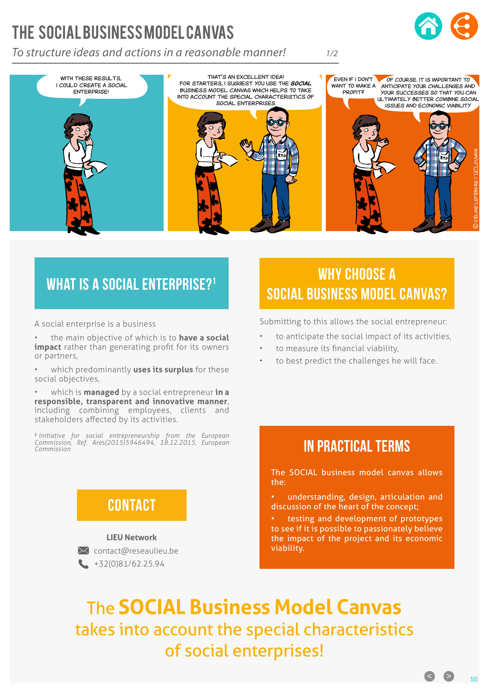# The SOCIAL BUSINESS MODEL CANVAS

*To structure ideas and actions in a reasonable manner! 1/2*





## WHAT IS A SOCIAL ENTERPRISE?<sup>1</sup>

A social enterprise is a business

• the main objective of which is to **have a social impact** rather than generating profit for its owners or partners,

• which predominantly **uses its surplus** for these social objectives,

• which is **managed** by a social entrepreneur **in a responsible, transparent and innovative manner**, including combining employees, clients and stakeholders affected by its activities.

**<sup>1</sup>***Initiative for social entrepreneurship from the European Commission, Ref. Ares(2015)5946494, 18.12.2015, European Commission*

## **CONTACT**

**LIEU Network**  $\times$  contact@reseaulieu.be  $\leftarrow$  +32(0)81/62.25.94

## WHY CHOOSE A SOCIAL Business Model Canvas?

Submitting to this allows the social entrepreneur:

- to anticipate the social impact of its activities,
- to measure its financial viability,
- to best predict the challenges he will face.

### In practical terms

The SOCIAL business model canvas allows the:

• understanding, design, articulation and discussion of the heart of the concept;

• testing and development of prototypes to see if it is possible to passionately believe the impact of the project and its economic viability.

 $\bullet$  55

The **SOCIAL Business Model Canvas** takes into account the special characteristics of social enterprises!